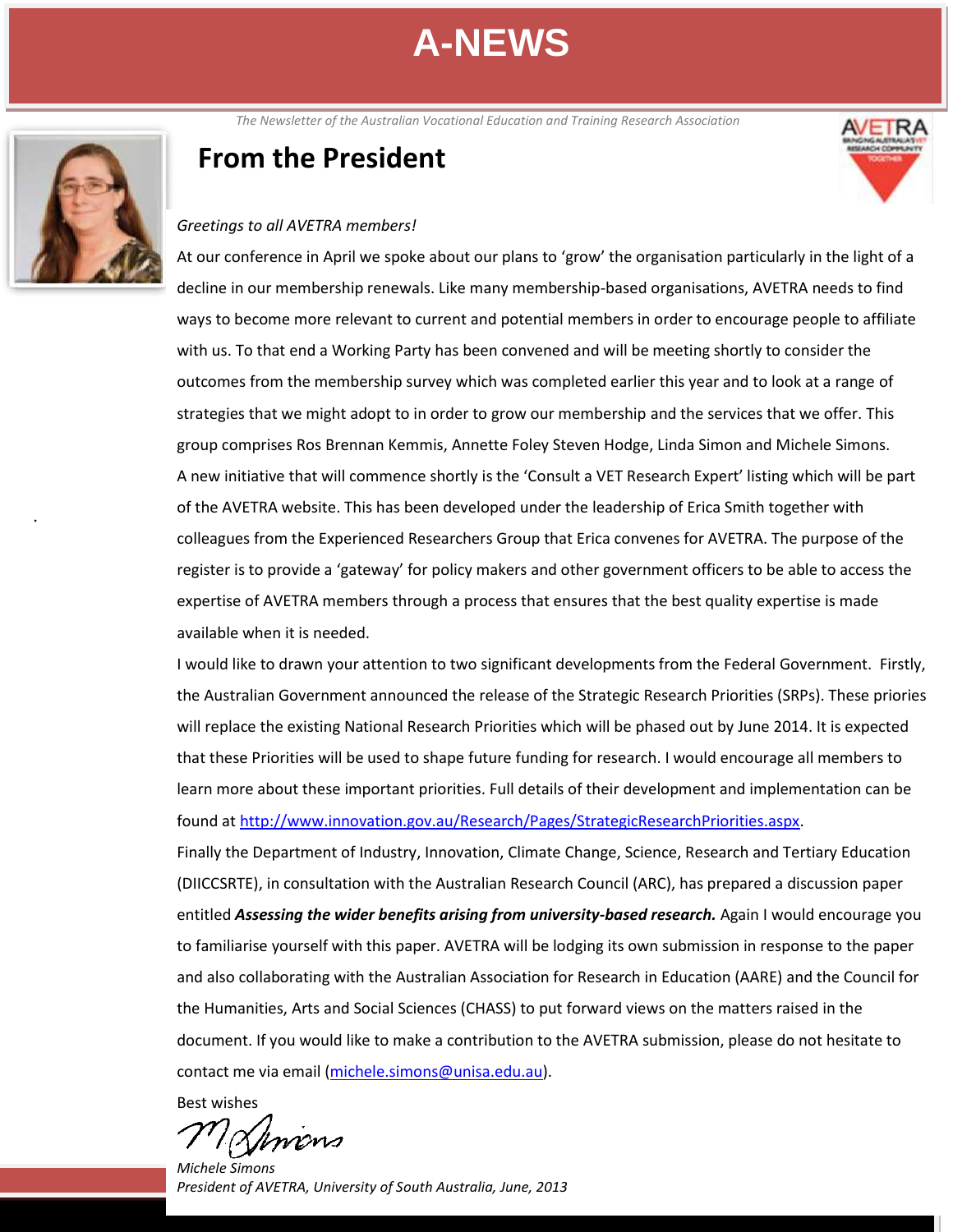The Newsletter of the Australian Vocational Education and Training Research Association<br> **The Study of Lines of Lines Contra** 



.

### **From the President**



#### *Greetings to all AVETRA members!*

At our conference in April we spoke about our plans to 'grow' the organisation particularly in the light of a decline in our membership renewals. Like many membership-based organisations, AVETRA needs to find ways to become more relevant to current and potential members in order to encourage people to affiliate with us. To that end a Working Party has been convened and will be meeting shortly to consider the outcomes from the membership survey which was completed earlier this year and to look at a range of strategies that we might adopt to in order to grow our membership and the services that we offer. This group comprises Ros Brennan Kemmis, Annette Foley Steven Hodge, Linda Simon and Michele Simons. A new initiative that will commence shortly is the 'Consult a VET Research Expert' listing which will be part of the AVETRA website. This has been developed under the leadership of Erica Smith together with colleagues from the Experienced Researchers Group that Erica convenes for AVETRA. The purpose of the register is to provide a 'gateway' for policy makers and other government officers to be able to access the expertise of AVETRA members through a process that ensures that the best quality expertise is made available when it is needed.

I would like to drawn your attention to two significant developments from the Federal Government. Firstly, the Australian Government announced the release of the Strategic Research Priorities (SRPs). These priories will replace the existing National Research Priorities which will be phased out by June 2014. It is expected that these Priorities will be used to shape future funding for research. I would encourage all members to learn more about these important priorities. Full details of their development and implementation can be found at [http://www.innovation.gov.au/Research/Pages/StrategicResearchPriorities.aspx.](http://www.innovation.gov.au/Research/Pages/StrategicResearchPriorities.aspx)

Finally the Department of Industry, Innovation, Climate Change, Science, Research and Tertiary Education (DIICCSRTE), in consultation with the Australian Research Council (ARC), has prepared a discussion paper entitled *Assessing the wider benefits arising from university-based research*. Again I would encourage you to familiarise yourself with this paper. AVETRA will be lodging its own submission in response to the paper and also collaborating with the Australian Association for Research in Education (AARE) and the Council for the Humanities, Arts and Social Sciences (CHASS) to put forward views on the matters raised in the document. If you would like to make a contribution to the AVETRA submission, please do not hesitate to contact me via email [\(michele.simons@unisa.edu.au\)](mailto:michele.simons@unisa.edu.au).

Best wishes

Ilmens

*Michele Simons President of AVETRA, University of South Australia, June, 2013*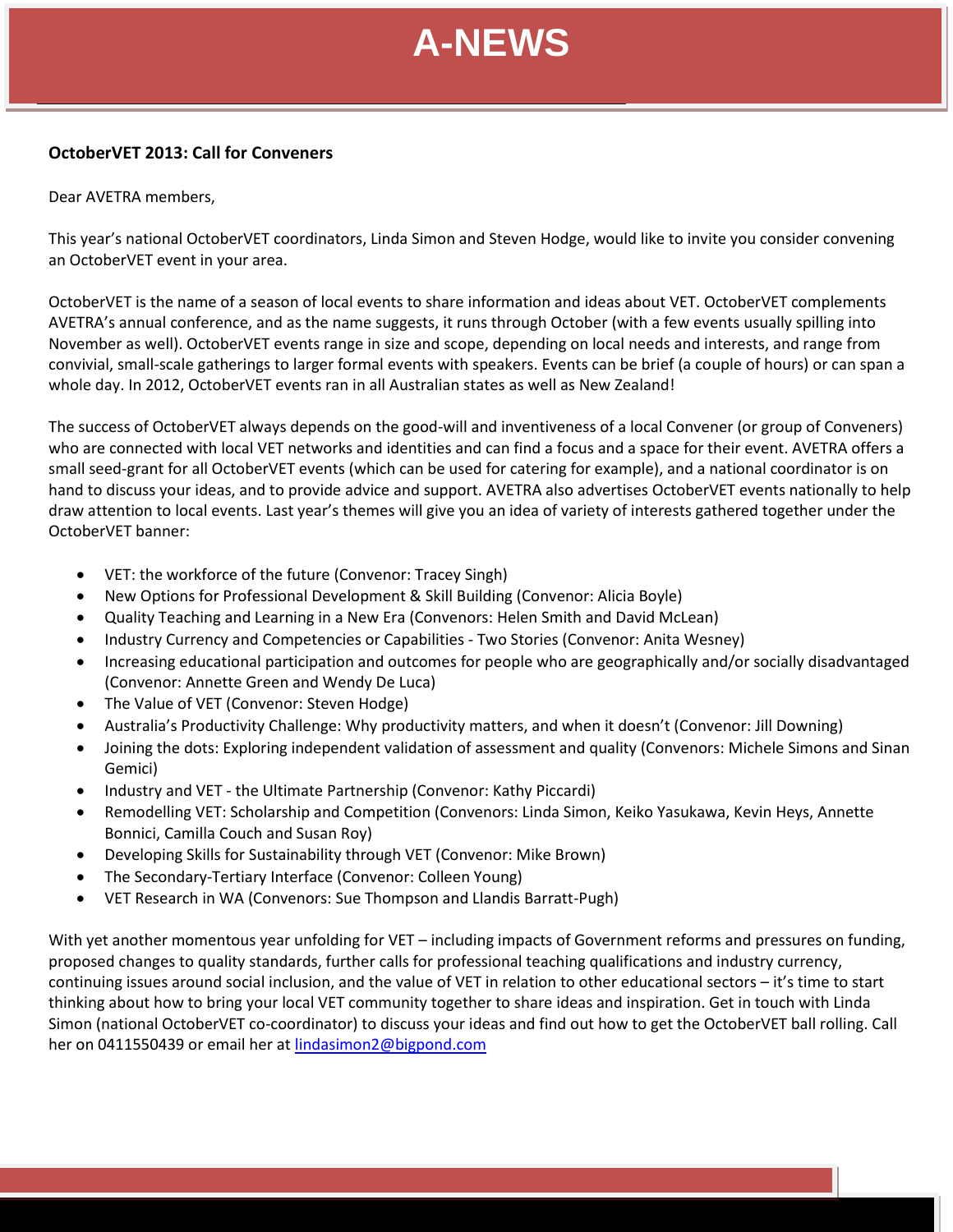#### **OctoberVET 2013: Call for Conveners**

Dear AVETRA members,

This year's national OctoberVET coordinators, Linda Simon and Steven Hodge, would like to invite you consider convening an OctoberVET event in your area.

OctoberVET is the name of a season of local events to share information and ideas about VET. OctoberVET complements AVETRA's annual conference, and as the name suggests, it runs through October (with a few events usually spilling into November as well). OctoberVET events range in size and scope, depending on local needs and interests, and range from convivial, small-scale gatherings to larger formal events with speakers. Events can be brief (a couple of hours) or can span a whole day. In 2012, OctoberVET events ran in all Australian states as well as New Zealand!

The success of OctoberVET always depends on the good-will and inventiveness of a local Convener (or group of Conveners) who are connected with local VET networks and identities and can find a focus and a space for their event. AVETRA offers a small seed-grant for all OctoberVET events (which can be used for catering for example), and a national coordinator is on hand to discuss your ideas, and to provide advice and support. AVETRA also advertises OctoberVET events nationally to help draw attention to local events. Last year's themes will give you an idea of variety of interests gathered together under the OctoberVET banner:

- VET: the workforce of the future (Convenor: Tracey Singh)
- New Options for Professional Development & Skill Building (Convenor: Alicia Boyle)
- Quality Teaching and Learning in a New Era (Convenors: Helen Smith and David McLean)
- Industry Currency and Competencies or Capabilities Two Stories (Convenor: Anita Wesney)
- Increasing educational participation and outcomes for people who are geographically and/or socially disadvantaged (Convenor: Annette Green and Wendy De Luca)
- **OctoberVET 2012:**  The Value of VET (Convenor: Steven Hodge)
- . Australia's Productivity Challenge: Why productivity matters, and when it doesn't (Convenor: Jill Downing)
- Joining the dots: Exploring independent validation of assessment and quality (Convenors: Michele Simons and Sinan Gemici)
- Industry and VET the Ultimate Partnership (Convenor: Kathy Piccardi)
- Remodelling VET: Scholarship and Competition (Convenors: Linda Simon, Keiko Yasukawa, Kevin Heys, Annette Bonnici, Camilla Couch and Susan Roy)
- Developing Skills for Sustainability through VET (Convenor: Mike Brown)
- The Secondary-Tertiary Interface (Convenor: Colleen Young)
- VET Research in WA (Convenors: Sue Thompson and Llandis Barratt-Pugh)

With yet another momentous year unfolding for VET – including impacts of Government reforms and pressures on funding, proposed changes to quality standards, further calls for professional teaching qualifications and industry currency, continuing issues around social inclusion, and the value of VET in relation to other educational sectors – it's time to start thinking about how to bring your local VET community together to share ideas and inspiration. Get in touch with Linda Simon (national OctoberVET co-coordinator) to discuss your ideas and find out how to get the OctoberVET ball rolling. Call her on 0411550439 or email her at [lindasimon2@bigpond.com](mailto:lindasimon2@bigpond.com)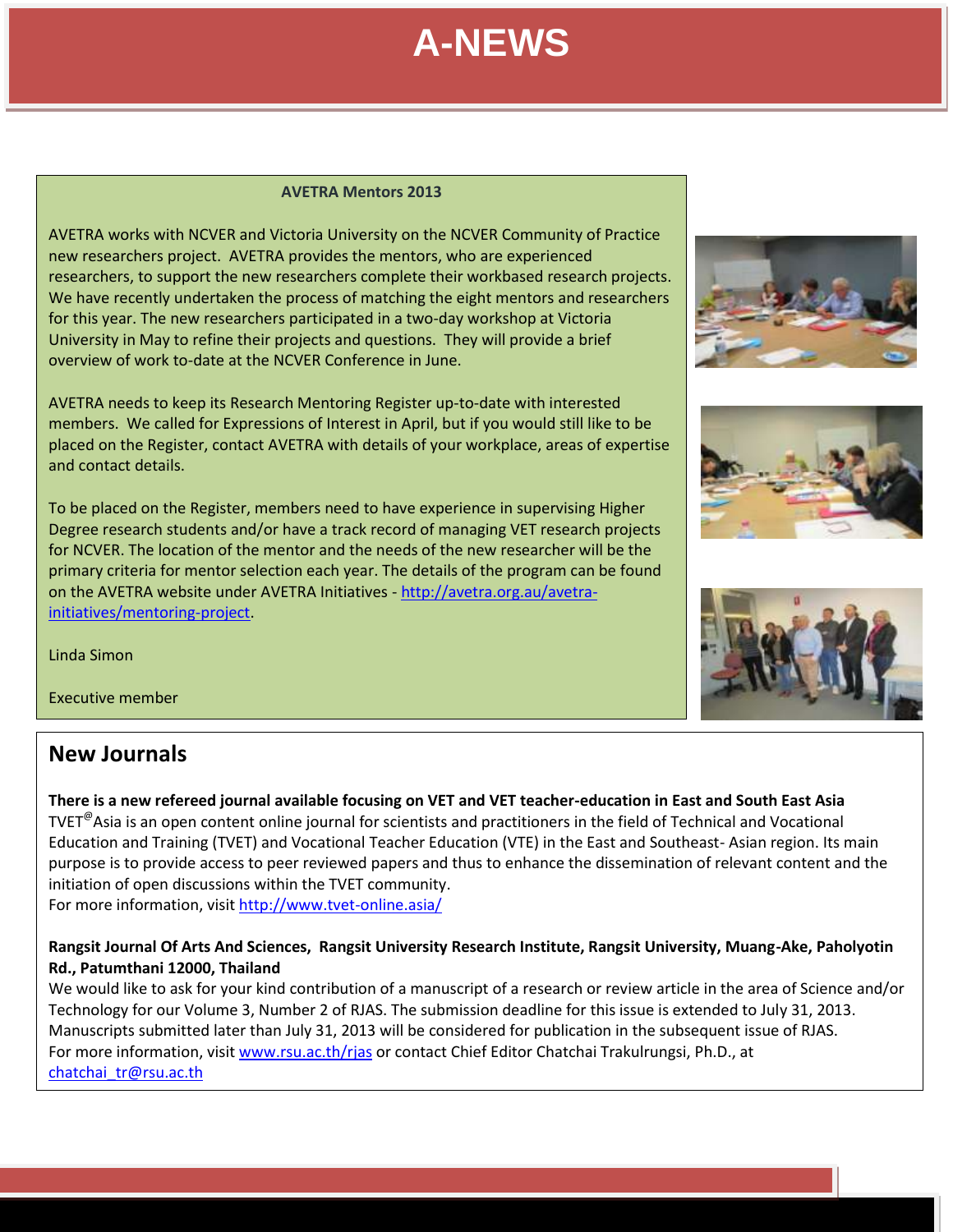#### **AVETRA Mentors 2013**

AVETRA works with NCVER and Victoria University on the NCVER Community of Practice new researchers project. AVETRA provides the mentors, who are experienced researchers, to support the new researchers complete their workbased research projects. We have recently undertaken the process of matching the eight mentors and researchers for this year. The new researchers participated in a two-day workshop at Victoria University in May to refine their projects and questions. They will provide a brief overview of work to-date at the NCVER Conference in June.

AVETRA needs to keep its Research Mentoring Register up-to-date with interested members. We called for Expressions of Interest in April, but if you would still like to be placed on the Register, contact AVETRA with details of your workplace, areas of expertise and contact details.

To be placed on the Register, members need to have experience in supervising Higher Degree research students and/or have a track record of managing VET research projects for NCVER. The location of the mentor and the needs of the new researcher will be the primary criteria for mentor selection each year. The details of the program can be found on the AVETRA website under AVETRA Initiatives - [http://avetra.org.au/avetra](http://avetra.org.au/avetra-initiatives/mentoring-project)[initiatives/mentoring-project.](http://avetra.org.au/avetra-initiatives/mentoring-project)

Linda Simon

Executive member

### **New Journals**

**There is a new refereed journal available focusing on VET and VET teacher-education in East and South East Asia** TVET<sup>@</sup>Asia is an open content online journal for scientists and practitioners in the field of Technical and Vocational Education and Training (TVET) and Vocational Teacher Education (VTE) in the East and Southeast- Asian region. Its main purpose is to provide access to peer reviewed papers and thus to enhance the dissemination of relevant content and the initiation of open discussions within the TVET community.

For more information, visi[t http://www.tvet-online.asia/](http://www.tvet-online.asia/)

#### **Rangsit Journal Of Arts And Sciences, Rangsit University Research Institute, Rangsit University, Muang-Ake, Paholyotin Rd., Patumthani 12000, Thailand**

We would like to ask for your kind contribution of a manuscript of a research or review article in the area of Science and/or Technology for our Volume 3, Number 2 of RJAS. The submission deadline for this issue is extended to July 31, 2013. Manuscripts submitted later than July 31, 2013 will be considered for publication in the subsequent issue of RJAS. For more information, visi[t www.rsu.ac.th/rjas](http://www.rsu.ac.th/rjas) or contact Chief Editor Chatchai Trakulrungsi, Ph.D., at [chatchai\\_tr@rsu.ac.th](mailto:chatchai_tr@rsu.ac.th)





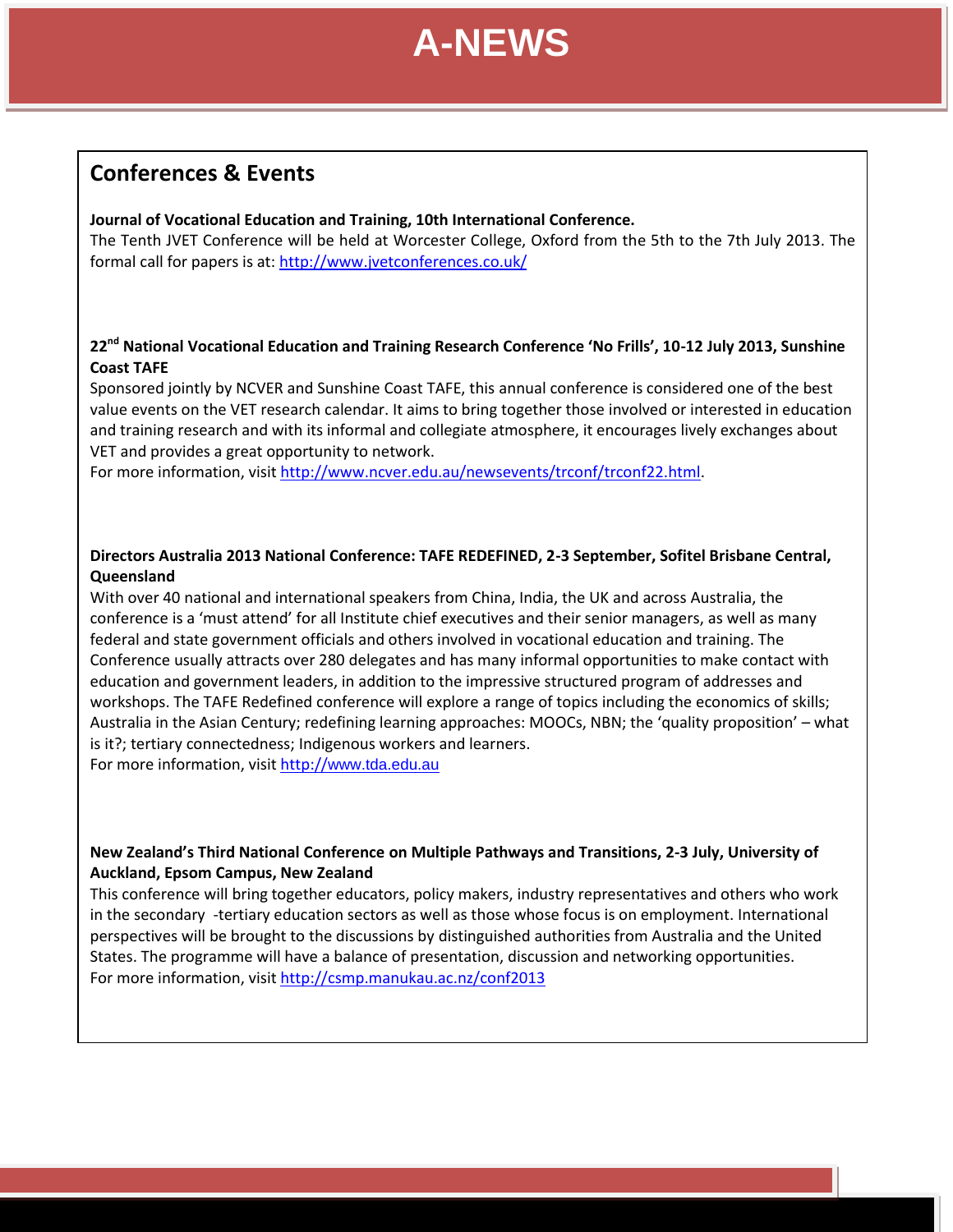

**June 2012**

### **Conferences & Events**

#### **Journal of Vocational Education and Training, 10th International Conference.**

The Tenth JVET Conference will be held at Worcester College, Oxford from the 5th to the 7th July 2013. The formal call for papers is at[: http://www.jvetconferences.co.uk/](http://www.jvetconferences.co.uk/)

#### **22nd National Vocational Education and Training Research Conference 'No Frills', 10-12 July 2013, Sunshine Coast TAFE**

Sponsored jointly by NCVER and Sunshine Coast TAFE, this annual conference is considered one of the best value events on the VET research calendar. It aims to bring together those involved or interested in education and training research and with its informal and collegiate atmosphere, it encourages lively exchanges about VET and provides a great opportunity to network.

For more information, visit [http://www.ncver.edu.au/newsevents/trconf/trconf22.html.](http://www.ncver.edu.au/newsevents/trconf/trconf22.html)

#### **Directors Australia 2013 National Conference: TAFE REDEFINED, 2-3 September, Sofitel Brisbane Central, Queensland**

With over 40 national and international speakers from China, India, the UK and across Australia, the conference is a 'must attend' for all Institute chief executives and their senior managers, as well as many federal and state government officials and others involved in vocational education and training. The Conference usually attracts over 280 delegates and has many informal opportunities to make contact with education and government leaders, in addition to the impressive structured program of addresses and workshops. The TAFE Redefined conference will explore a range of topics including the economics of skills; Australia in the Asian Century; redefining learning approaches: MOOCs, NBN; the 'quality proposition' – what is it?; tertiary connectedness; Indigenous workers and learners.

For more information, visit http://[www.tda.edu.au](http://www.tda.edu.au/)

#### **New Zealand's Third National Conference on Multiple Pathways and Transitions, 2-3 July, University of Auckland, Epsom Campus, New Zealand**

This conference will bring together educators, policy makers, industry representatives and others who work in the secondary -tertiary education sectors as well as those whose focus is on employment. International perspectives will be brought to the discussions by distinguished authorities from Australia and the United States. The programme will have a balance of presentation, discussion and networking opportunities. For more information, visit <http://csmp.manukau.ac.nz/conf2013>